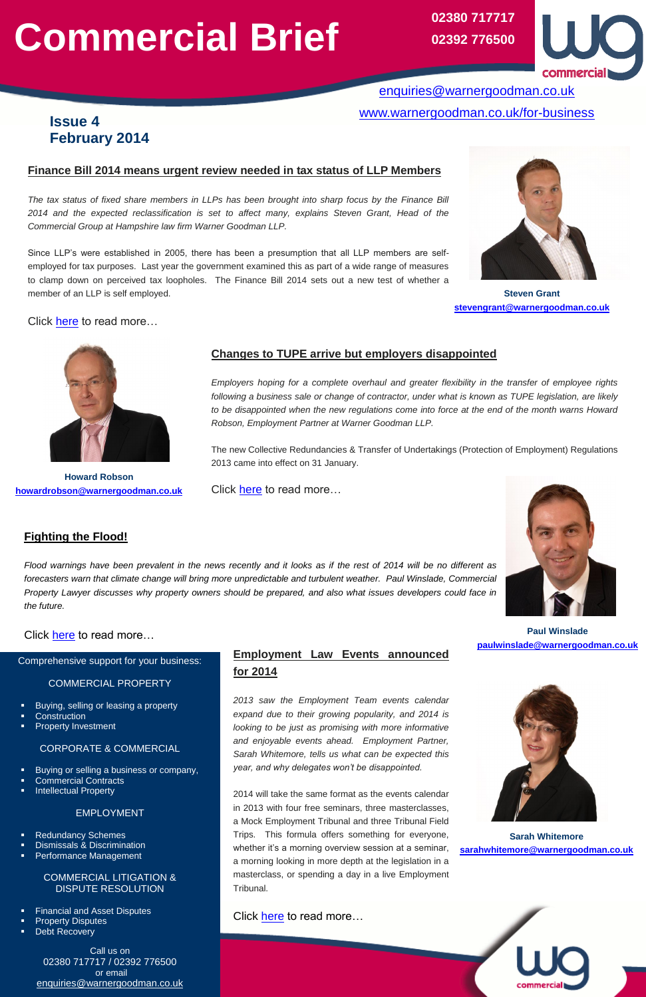# **Commercial Brief**

# **Fighting the Flood!**

*Flood warnings have been prevalent in the news recently and it looks as if the rest of 2014 will be no different as forecasters warn that climate change will bring more unpredictable and turbulent weather. Paul Winslade, Commercial Property Lawyer discusses why property owners should be prepared, and also what issues developers could face in the future.*

# Click [here](https://www.warnergoodman.co.uk/site/blog/news/fighting-the-flood) to read more...

# **Employment Law Events announced for 2014**

*2013 saw the Employment Team events calendar expand due to their growing popularity, and 2014 is looking to be just as promising with more informative* 

*and enjoyable events ahead. Employment Partner, Sarah Whitemore, tells us what can be expected this year, and why delegates won't be disappointed.*

2014 will take the same format as the events calendar in 2013 with four free seminars, three masterclasses, a Mock Employment Tribunal and three Tribunal Field Trips. This formula offers something for everyone, whether it's a morning overview session at a seminar, a morning looking in more depth at the legislation in a masterclass, or spending a day in a live Employment Tribunal.

# Click [here](https://www.warnergoodman.co.uk/site/blog/news/employment-law-events-announced-for-2014) to read more...

# **Finance Bill 2014 means urgent review needed in tax status of LLP Members**

*The tax status of fixed share members in LLPs has been brought into sharp focus by the Finance Bill 2014 and the expected reclassification is set to affect many, explains Steven Grant, Head of the Commercial Group at Hampshire law firm Warner Goodman LLP.*

Since LLP's were established in 2005, there has been a presumption that all LLP members are selfemployed for tax purposes. Last year the government examined this as part of a wide range of measures to clamp down on perceived tax loopholes. The Finance Bill 2014 sets out a new test of whether a member of an LLP is self employed.



Click [here](https://www.warnergoodman.co.uk/site/blog/news/finance-bill-2014-means-urgent-review-needed-in-tax-status-of-ll) to read more…

Comprehensive support for your business:

#### COMMERCIAL PROPERTY

- Buying, selling or leasing a property
- **Construction**
- Property Investment

### CORPORATE & COMMERCIAL

- Buying or selling a business or company,
- Commercial Contracts
- Intellectual Property

#### EMPLOYMENT

- Redundancy Schemes
- Dismissals & Discrimination
- Performance Management

#### COMMERCIAL LITIGATION & DISPUTE RESOLUTION

- Financial and Asset Disputes
- Property Disputes
- Debt Recovery

Call us on 02380 717717 / 02392 776500 or email [enquiries@warnergoodman.co.uk](mailto:enquiries@warnergoodman.co.uk)

# **Issue 4 February 2014**

[enquiries@warnergoodman.co.uk](mailto:enquiries@warnergoodman.co.uk) [www.warnergoodman.co.uk/for-business](http://www.warnergoodman.co.uk/for-business)

# **Changes to TUPE arrive but employers disappointed**

*Employers hoping for a complete overhaul and greater flexibility in the transfer of employee rights following a business sale or change of contractor, under what is known as TUPE legislation, are likely to be disappointed when the new regulations come into force at the end of the month warns Howard Robson, Employment Partner at Warner Goodman LLP.*

**02380 717717 02392 776500**



The new Collective Redundancies & Transfer of Undertakings (Protection of Employment) Regulations 2013 came into effect on 31 January.

Click [here](https://www.warnergoodman.co.uk/site/blog/news/changes-to-tupe-arrive-but-employers-disappointed) to read more...





**Howard Robson [howardrobson@warnergoodman.co.uk](mailto:howardrobson@warnergoodman.co.uk)**

**Steven Grant [stevengrant@warnergoodman.co.uk](mailto:stevengrant@warnergoodman.co.uk)**

# **Paul Winslade [paulwinslade@warnergoodman.co.uk](mailto:paulwinslade@warnergoodman.co.uk)**



# **Sarah Whitemore [sarahwhitemore@warnergoodman.co.uk](mailto:sarahwhitemore@warnergoodman.co.uk)**